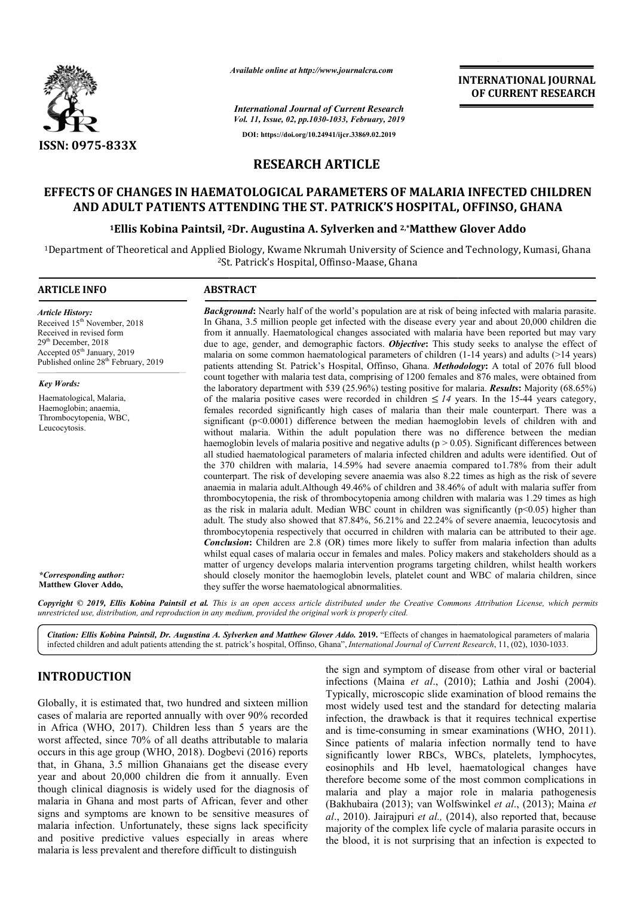

*Available online at http://www.journalcra.com*

**INTERNATIONAL JOURNAL OF CURRENT RESEARCH**

*International Journal of Current Research Vol. 11, Issue, 02, pp.1030-1033, February, 2019* **DOI: https://doi.org/10.24941/ijcr.33869.02.2019**

### **RESEARCH ARTICLE**

# **EFFECTS OF CHANGES IN HAEMATOLOGICAL PARAMETERS OF MALARIA INFECTED CHILDREN AND ADULT PATIENTS ATTENDING THE ST. PATRICK'S HOSPITAL, OFFINSO, GHANA PARAMETERS OF MALARIA INFECTED<br>| ST. PATRICK'S HOSPITAL, OFFINSO, G<br>A. Sylverken and <sup>2,</sup>\*Matthew Glover Addo**

#### <sup>1</sup>Ellis Kobina Paintsil, <sup>2</sup>Dr. Augustina A. Sylverken and <sup>2</sup>,\*Matthew Glover Addo

<sup>1</sup>Department of Theoretical and Applied Biology, Kwame Nkrumah University of Science and Technology, Kumasi, Ghana <sup>2</sup>St. Patrick's Hospital, Offinso-Maase, Ghana

| <b>Article History:</b><br>Received 15 <sup>th</sup> November, 2018<br>Received in revised form<br>$29th$ December, 2018<br>Accepted 05 <sup>th</sup> January, 2019<br>Published online 28 <sup>th</sup> February, 2019 | <b>Background:</b> Nearly half of the world's population are at risk of being infected with malaria parasite.<br>In Ghana, 3.5 million people get infected with the disease every year and about 20,000 children die<br>from it annually. Haematological changes associated with malaria have been reported but may vary<br>due to age, gender, and demographic factors. Objective: This study seeks to analyse the effect of<br>malaria on some common haematological parameters of children $(1-14 \text{ years})$ and adults ( $>14 \text{ years}$ )<br>patients attending St. Patrick's Hospital, Offinso, Ghana. Methodology: A total of 2076 full blood                                                                                                                                                                                                                                                                                                                                                                                                                                                                                                                                                                                                                                                                                                                                                                                                                                                                                                                                                                                                                                                                                                                             |  |  |  |
|-------------------------------------------------------------------------------------------------------------------------------------------------------------------------------------------------------------------------|-------------------------------------------------------------------------------------------------------------------------------------------------------------------------------------------------------------------------------------------------------------------------------------------------------------------------------------------------------------------------------------------------------------------------------------------------------------------------------------------------------------------------------------------------------------------------------------------------------------------------------------------------------------------------------------------------------------------------------------------------------------------------------------------------------------------------------------------------------------------------------------------------------------------------------------------------------------------------------------------------------------------------------------------------------------------------------------------------------------------------------------------------------------------------------------------------------------------------------------------------------------------------------------------------------------------------------------------------------------------------------------------------------------------------------------------------------------------------------------------------------------------------------------------------------------------------------------------------------------------------------------------------------------------------------------------------------------------------------------------------------------------------------------------|--|--|--|
| <b>Key Words:</b><br>Haematological, Malaria,<br>Haemoglobin; anaemia,<br>Thrombocytopenia, WBC,<br>Leucocytosis.                                                                                                       | count together with malaria test data, comprising of 1200 females and 876 males, were obtained from<br>the laboratory department with 539 (25.96%) testing positive for malaria. <b>Results:</b> Majority (68.65%)                                                                                                                                                                                                                                                                                                                                                                                                                                                                                                                                                                                                                                                                                                                                                                                                                                                                                                                                                                                                                                                                                                                                                                                                                                                                                                                                                                                                                                                                                                                                                                        |  |  |  |
|                                                                                                                                                                                                                         | of the malaria positive cases were recorded in children $\leq 14$ years. In the 15-44 years category,<br>females recorded significantly high cases of malaria than their male counterpart. There was a<br>significant (p<0.0001) difference between the median haemoglobin levels of children with and<br>without malaria. Within the adult population there was no difference between the median<br>haemoglobin levels of malaria positive and negative adults ( $p > 0.05$ ). Significant differences between<br>all studied haematological parameters of malaria infected children and adults were identified. Out of<br>the 370 children with malaria, 14.59% had severe anaemia compared to 1.78% from their adult<br>counterpart. The risk of developing severe anaemia was also 8.22 times as high as the risk of severe<br>anaemia in malaria adult. Although 49.46% of children and 38.46% of adult with malaria suffer from<br>thrombocytopenia, the risk of thrombocytopenia among children with malaria was 1.29 times as high<br>as the risk in malaria adult. Median WBC count in children was significantly $(p<0.05)$ higher than<br>adult. The study also showed that 87.84%, 56.21% and 22.24% of severe anaemia, leucocytosis and<br>thrombocytopenia respectively that occurred in children with malaria can be attributed to their age.<br><b>Conclusion:</b> Children are 2.8 (OR) times more likely to suffer from malaria infection than adults<br>whilst equal cases of malaria occur in females and males. Policy makers and stakeholders should as a<br>matter of urgency develops malaria intervention programs targeting children, whilst health workers<br>should closely monitor the haemoglobin levels, platelet count and WBC of malaria children, since |  |  |  |

Copyright © 2019, Ellis Kobina Paintsil et al. This is an open access article distributed under the Creative Commons Attribution License, which permits *unrestricted use, distribution, and reproduction in any medium, provided the original work is properly cited.*

Citation: Ellis Kobina Paintsil, Dr. Augustina A. Sylverken and Matthew Glover Addo. 2019. "Effects of changes in haematological parameters of malaria infected children and adult patients attending the st. patrick's hospital, Offinso, Ghana", *International Journal of Current Research*, 11, (02), 1030-1033.

## **INTRODUCTION**

Globally, it is estimated that, two hundred and sixteen million cases of malaria are reported annually with over 90% recorded in Africa (WHO, 2017). Children less than 5 years are the worst affected, since 70% of all deaths attributable to malaria occurs in this age group (WHO, 2018). Dogbevi (2016) reports that, in Ghana, 3.5 million Ghanaians get the disease every year and about 20,000 children die from it annually. Even though clinical diagnosis is widely used for the diagnosis of malaria in Ghana and most parts of African, fever and o signs and symptoms are known to be sensitive measures of malaria infection. Unfortunately, these signs lack specificity and positive predictive values especially in areas where malaria is less prevalent and therefore difficult to distinguish gbevi (2016) reports<br>et the disease every<br>n it annually. Even<br>for the diagnosis of<br>can, fever and other the sign and symptom of disease from other viral or bacterial infections (Maina *et al*., (2010); Lathia and Joshi (2004). Typically, microscopic slide examination of blood remains the most widely used test and the standard for detecting malaria infection, the drawback is that it requires technical expertise and is time-consuming in smear examinations (WHO, 2011). Since patients of malaria infection normally tend to have significantly lower RBCs, WBCs, platelets, lymphocytes, eosinophils and Hb level, haematological changes have therefore become some of the most common complications in malaria and play a major role in malaria p (Bakhubaira (2013); van Wolfswinkel et al., (2013); Maina et *al*., 2010). Jairajpuri *et al.,* (2014), also reported that, because majority of the complex life cycle of malaria parasite occurs in the blood, it is not surprising that an infection is expected to the sign and symptom of disease from other viral or bacterial infections (Maina *et al.*, (2010); Lathia and Joshi (2004). Typically, microscopic slide examination of blood remains the most widely used test and the standar ). Jairajpuri *et al.*, (2014), also reported that, because of the complex life cycle of malaria parasite occurs in  $d$ , it is not surprising that an infection is expected to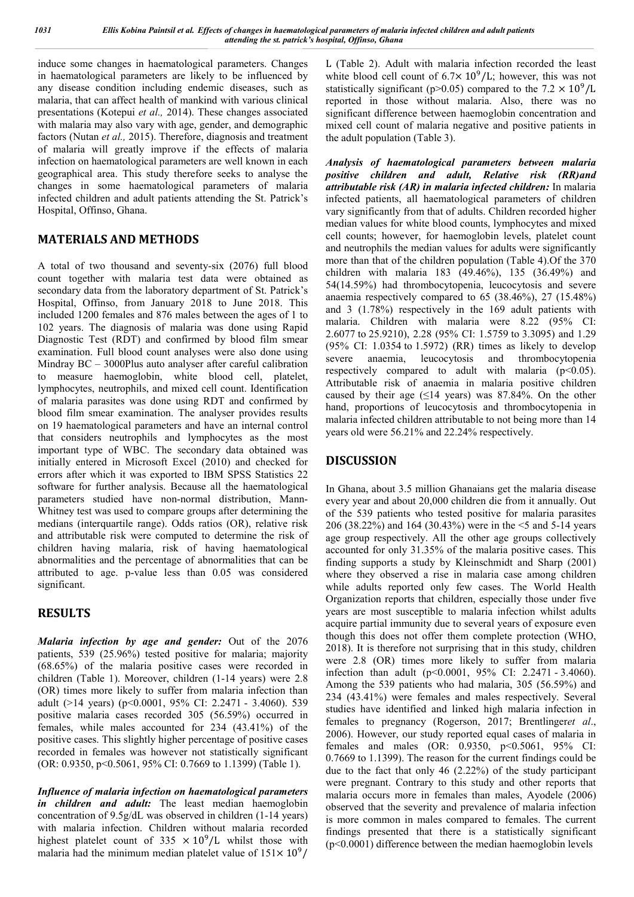induce some changes in haematological parameters. Changes in haematological parameters are likely to be influenced by any disease condition including endemic diseases, such as malaria, that can affect health of mankind with various clinical presentations (Kotepui *et al.,* 2014). These changes associated with malaria may also vary with age, gender, and demographic factors (Nutan *et al.,* 2015). Therefore, diagnosis and treatment of malaria will greatly improve if the effects of malaria infection on haematological parameters are well known in each geographical area. This study therefore seeks to analyse the changes in some haematological parameters of malaria infected children and adult patients attending the St. Patrick's Hospital, Offinso, Ghana.

### **MATERIALS AND METHODS**

A total of two thousand and seventy-six (2076) full blood count together with malaria test data were obtained as secondary data from the laboratory department of St. Patrick's Hospital, Offinso, from January 2018 to June 2018. This included 1200 females and 876 males between the ages of 1 to 102 years. The diagnosis of malaria was done using Rapid Diagnostic Test (RDT) and confirmed by blood film smear examination. Full blood count analyses were also done using Mindray BC – 3000Plus auto analyser after careful calibration to measure haemoglobin, white blood cell, platelet, lymphocytes, neutrophils, and mixed cell count. Identification of malaria parasites was done using RDT and confirmed by blood film smear examination. The analyser provides results on 19 haematological parameters and have an internal control that considers neutrophils and lymphocytes as the most important type of WBC. The secondary data obtained was initially entered in Microsoft Excel (2010) and checked for errors after which it was exported to IBM SPSS Statistics 22 software for further analysis. Because all the haematological parameters studied have non-normal distribution, Mann-Whitney test was used to compare groups after determining the medians (interquartile range). Odds ratios (OR), relative risk and attributable risk were computed to determine the risk of children having malaria, risk of having haematological abnormalities and the percentage of abnormalities that can be attributed to age. p-value less than 0.05 was considered significant.

### **RESULTS**

*Malaria infection by age and gender:* Out of the 2076 patients, 539 (25.96%) tested positive for malaria; majority (68.65%) of the malaria positive cases were recorded in children (Table 1). Moreover, children (1-14 years) were 2.8 (OR) times more likely to suffer from malaria infection than adult (>14 years) (p<0.0001, 95% CI: 2.2471 - 3.4060). 539 positive malaria cases recorded 305 (56.59%) occurred in females, while males accounted for 234 (43.41%) of the positive cases. This slightly higher percentage of positive cases recorded in females was however not statistically significant (OR: 0.9350, p<0.5061, 95% CI: 0.7669 to 1.1399) (Table 1).

*Influence of malaria infection on haematological parameters in children and adult:* The least median haemoglobin concentration of 9.5g/dL was observed in children (1-14 years) with malaria infection. Children without malaria recorded highest platelet count of 335  $\times$  10<sup>9</sup>/L whilst those with malaria had the minimum median platelet value of  $151 \times 10^9$ /

L (Table 2). Adult with malaria infection recorded the least white blood cell count of  $6.7 \times 10^9$ /L; however, this was not statistically significant (p>0.05) compared to the  $7.2 \times 10^9$ /L reported in those without malaria. Also, there was no significant difference between haemoglobin concentration and mixed cell count of malaria negative and positive patients in the adult population (Table 3).

*Analysis of haematological parameters between malaria positive children and adult, Relative risk (RR)and attributable risk (AR) in malaria infected children:* In malaria infected patients, all haematological parameters of children vary significantly from that of adults. Children recorded higher median values for white blood counts, lymphocytes and mixed cell counts; however, for haemoglobin levels, platelet count and neutrophils the median values for adults were significantly more than that of the children population (Table 4).Of the 370 children with malaria 183 (49.46%), 135 (36.49%) and 54(14.59%) had thrombocytopenia, leucocytosis and severe anaemia respectively compared to 65 (38.46%), 27 (15.48%) and 3 (1.78%) respectively in the 169 adult patients with malaria. Children with malaria were 8.22 (95% CI: 2.6077 to 25.9210), 2.28 (95% CI: 1.5759 to 3.3095) and 1.29 (95% CI: 1.0354 to 1.5972) (RR) times as likely to develop severe anaemia, leucocytosis and thrombocytopenia respectively compared to adult with malaria  $(p<0.05)$ . Attributable risk of anaemia in malaria positive children caused by their age  $(≤14 \text{ years})$  was 87.84%. On the other hand, proportions of leucocytosis and thrombocytopenia in malaria infected children attributable to not being more than 14 years old were 56.21% and 22.24% respectively.

### **DISCUSSION**

In Ghana, about 3.5 million Ghanaians get the malaria disease every year and about 20,000 children die from it annually. Out of the 539 patients who tested positive for malaria parasites 206 (38.22%) and 164 (30.43%) were in the <5 and 5-14 years age group respectively. All the other age groups collectively accounted for only 31.35% of the malaria positive cases. This finding supports a study by Kleinschmidt and Sharp (2001) where they observed a rise in malaria case among children while adults reported only few cases. The World Health Organization reports that children, especially those under five years are most susceptible to malaria infection whilst adults acquire partial immunity due to several years of exposure even though this does not offer them complete protection (WHO, 2018). It is therefore not surprising that in this study, children were 2.8 (OR) times more likely to suffer from malaria infection than adult (p<0.0001, 95% CI: 2.2471 - 3.4060). Among the 539 patients who had malaria, 305 (56.59%) and 234 (43.41%) were females and males respectively. Several studies have identified and linked high malaria infection in females to pregnancy (Rogerson, 2017; Brentlinger*et al*., 2006). However, our study reported equal cases of malaria in females and males (OR: 0.9350, p<0.5061, 95% CI: 0.7669 to 1.1399). The reason for the current findings could be due to the fact that only 46 (2.22%) of the study participant were pregnant. Contrary to this study and other reports that malaria occurs more in females than males, Ayodele (2006) observed that the severity and prevalence of malaria infection is more common in males compared to females. The current findings presented that there is a statistically significant (p<0.0001) difference between the median haemoglobin levels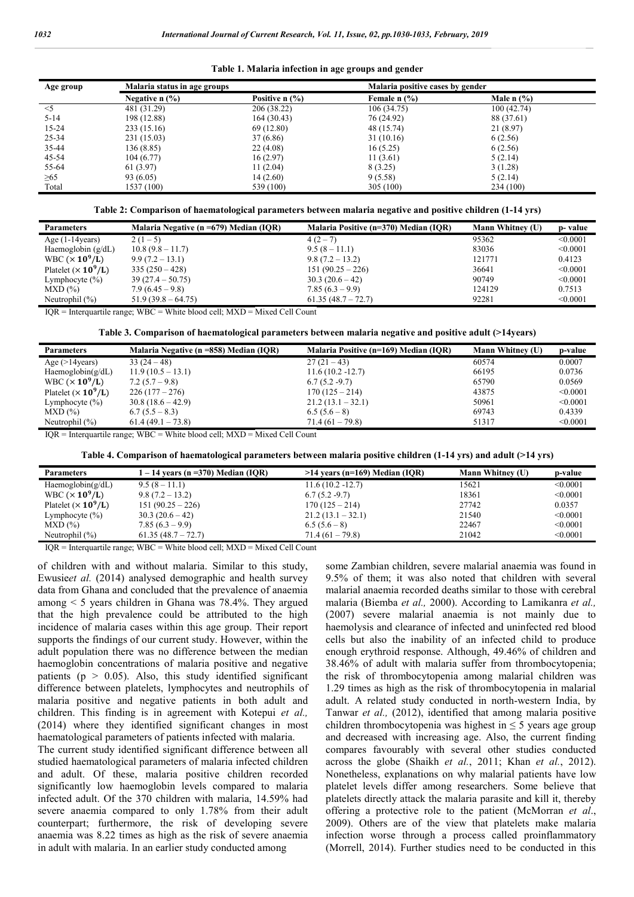|  | Table 1. Malaria infection in age groups and gender |  |  |
|--|-----------------------------------------------------|--|--|
|  |                                                     |  |  |
|  |                                                     |  |  |

| Age group | Malaria status in age groups |                  |                                       | Malaria positive cases by gender |  |  |
|-----------|------------------------------|------------------|---------------------------------------|----------------------------------|--|--|
|           | Negative $n$ $\frac{9}{6}$   | Positive $n$ (%) | Female $n$ $\left(\frac{9}{6}\right)$ | Male $n$ $\%$ )                  |  |  |
| $\leq$ 5  | 481 (31.29)                  | 206 (38.22)      | 106(34.75)                            | 100(42.74)                       |  |  |
| $5 - 14$  | 198 (12.88)                  | 164 (30.43)      | 76 (24.92)                            | 88 (37.61)                       |  |  |
| $15 - 24$ | 233 (15.16)                  | 69 (12.80)       | 48 (15.74)                            | 21 (8.97)                        |  |  |
| 25-34     | 231 (15.03)                  | 37 (6.86)        | 31(10.16)                             | 6(2.56)                          |  |  |
| 35-44     | 136 (8.85)                   | 22(4.08)         | 16(5.25)                              | 6(2.56)                          |  |  |
| 45-54     | 104(6.77)                    | 16(2.97)         | 11(3.61)                              | 5(2.14)                          |  |  |
| 55-64     | 61 (3.97)                    | 11(2.04)         | 8 (3.25)                              | 3(1.28)                          |  |  |
| $\geq 65$ | 93 (6.05)                    | 14 (2.60)        | 9(5.58)                               | 5(2.14)                          |  |  |
| Total     | 1537 (100)                   | 539 (100)        | 305(100)                              | 234 (100)                        |  |  |

**Table 2: Comparison of haematological parameters between malaria negative and positive children (1-14 yrs)**

| <b>Parameters</b>          | Malaria Negative ( $n = 679$ ) Median (IQR) | Malaria Positive (n=370) Median (IOR) | <b>Mann Whitney (U)</b> | p-value  |
|----------------------------|---------------------------------------------|---------------------------------------|-------------------------|----------|
| Age $(1-14$ years)         | $2(1-5)$                                    | $4(2-7)$                              | 95362                   | < 0.0001 |
| Haemoglobin $(g/dL)$       | $10.8(9.8 - 11.7)$                          | $9.5(8 - 11.1)$                       | 83036                   | < 0.0001 |
| WBC $(\times 10^9$ /L)     | $9.9(7.2 - 13.1)$                           | $9.8(7.2 - 13.2)$                     | 121771                  | 0.4123   |
| Platelet $(\times 10^9/L)$ | $335(250-428)$                              | $151(90.25-226)$                      | 36641                   | < 0.0001 |
| Lymphocyte $(\% )$         | $39(27.4 - 50.75)$                          | $30.3(20.6-42)$                       | 90749                   | < 0.0001 |
| $MXD$ $(\%)$               | $7.9(6.45-9.8)$                             | $7.85(6.3-9.9)$                       | 124129                  | 0.7513   |
| Neutrophil $(\% )$         | $51.9(39.8 - 64.75)$                        | $61.35(48.7 - 72.7)$                  | 92281                   | < 0.0001 |
|                            |                                             |                                       |                         |          |

 $IOR = Interauartile range$ ;  $WBC = White blood cell$ ;  $MXD = Mixed Cell Count$ 

| Table 3. Comparison of haematological parameters between malaria negative and positive adult (>14years) |  |  |  |  |
|---------------------------------------------------------------------------------------------------------|--|--|--|--|
|                                                                                                         |  |  |  |  |

| <b>Parameters</b>                       | Malaria Negative (n =858) Median (IQR) | Malaria Positive (n=169) Median (IOR) | Mann Whitney (U) | p-value  |
|-----------------------------------------|----------------------------------------|---------------------------------------|------------------|----------|
| Age $(>14$ years)                       | $33(24-48)$                            | $27(21-43)$                           | 60574            | 0.0007   |
| Haemoglobin( $g/dL$ )                   | $11.9(10.5-13.1)$                      | $11.6(10.2 - 12.7)$                   | 66195            | 0.0736   |
| WBC $(\times 10^9$ /L)                  | $7.2(5.7-9.8)$                         | $6.7(5.2 - 9.7)$                      | 65790            | 0.0569   |
| Platelet ( $\times$ 10 <sup>9</sup> /L) | $226(177-276)$                         | $170(125-214)$                        | 43875            | < 0.0001 |
| Lymphocyte $(\% )$                      | $30.8(18.6 - 42.9)$                    | $21.2(13.1-32.1)$                     | 50961            | < 0.0001 |
| $MXD$ $(\%)$                            | $6.7(5.5-8.3)$                         | $6.5(5.6-8)$                          | 69743            | 0.4339   |
| Neutrophil $(\% )$                      | $61.4(49.1 - 73.8)$                    | $71.4(61 - 79.8)$                     | 51317            | < 0.0001 |

IQR = Interquartile range; WBC = White blood cell; MXD = Mixed Cell Count

**Table 4. Comparison of haematological parameters between malaria positive children (1-14 yrs) and adult (>14 yrs)**

| <b>Parameters</b>          | $1 - 14$ years (n = 370) Median (IQR) | $>14$ years (n=169) Median (IOR) | <b>Mann Whitney (U)</b> | p-value  |
|----------------------------|---------------------------------------|----------------------------------|-------------------------|----------|
| Haemoglobin( $g/dL$ )      | $9.5(8-11.1)$                         | $11.6(10.2 - 12.7)$              | 15621                   | < 0.0001 |
| WBC $(\times 10^9$ /L)     | $9.8(7.2 - 13.2)$                     | $6.7(5.2 - 9.7)$                 | 18361                   | < 0.0001 |
| Platelet $(\times 10^9/L)$ | $151(90.25-226)$                      | $170(125-214)$                   | 27742                   | 0.0357   |
| Lymphocyte $(\% )$         | $30.3(20.6-42)$                       | $21.2(13.1-32.1)$                | 21540                   | < 0.0001 |
| $MXD$ $(\%)$               | $7.85(6.3-9.9)$                       | $6.5(5.6-8)$                     | 22467                   | < 0.0001 |
| Neutrophil $(\%)$          | $61.35(48.7 - 72.7)$                  | $71.4(61 - 79.8)$                | 21042                   | < 0.0001 |

 $IQR = Integrating: WBC = White blood cell; MXD = Mixed Cell Count$ 

of children with and without malaria. Similar to this study, Ewusie*et al.* (2014) analysed demographic and health survey data from Ghana and concluded that the prevalence of anaemia among < 5 years children in Ghana was 78.4%. They argued that the high prevalence could be attributed to the high incidence of malaria cases within this age group. Their report supports the findings of our current study. However, within the adult population there was no difference between the median haemoglobin concentrations of malaria positive and negative patients ( $p > 0.05$ ). Also, this study identified significant difference between platelets, lymphocytes and neutrophils of malaria positive and negative patients in both adult and children. This finding is in agreement with Kotepui *et al.,*  (2014) where they identified significant changes in most haematological parameters of patients infected with malaria.

The current study identified significant difference between all studied haematological parameters of malaria infected children and adult. Of these, malaria positive children recorded significantly low haemoglobin levels compared to malaria infected adult. Of the 370 children with malaria, 14.59% had severe anaemia compared to only 1.78% from their adult counterpart; furthermore, the risk of developing severe anaemia was 8.22 times as high as the risk of severe anaemia in adult with malaria. In an earlier study conducted among

some Zambian children, severe malarial anaemia was found in 9.5% of them; it was also noted that children with several malarial anaemia recorded deaths similar to those with cerebral malaria (Biemba *et al.,* 2000). According to Lamikanra *et al.,*  (2007) severe malarial anaemia is not mainly due to haemolysis and clearance of infected and uninfected red blood cells but also the inability of an infected child to produce enough erythroid response. Although, 49.46% of children and 38.46% of adult with malaria suffer from thrombocytopenia; the risk of thrombocytopenia among malarial children was 1.29 times as high as the risk of thrombocytopenia in malarial adult. A related study conducted in north-western India, by Tanwar *et al.,* (2012), identified that among malaria positive children thrombocytopenia was highest in  $\leq$  5 years age group and decreased with increasing age. Also, the current finding compares favourably with several other studies conducted across the globe (Shaikh *et al.*, 2011; Khan *et al.*, 2012). Nonetheless, explanations on why malarial patients have low platelet levels differ among researchers. Some believe that platelets directly attack the malaria parasite and kill it, thereby offering a protective role to the patient (McMorran *et al*., 2009). Others are of the view that platelets make malaria infection worse through a process called proinflammatory (Morrell, 2014). Further studies need to be conducted in this